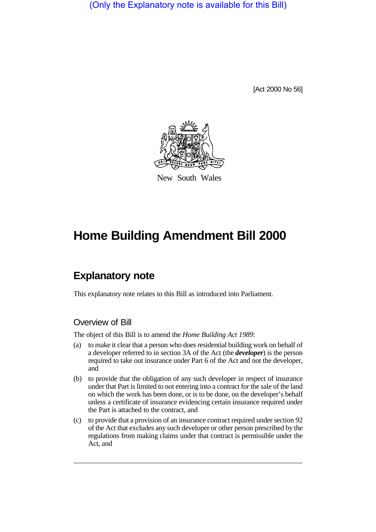(Only the Explanatory note is available for this Bill)

[Act 2000 No 56]



New South Wales

# **Home Building Amendment Bill 2000**

## **Explanatory note**

This explanatory note relates to this Bill as introduced into Parliament.

#### Overview of Bill

The object of this Bill is to amend the *Home Building Act 1989*:

- (a) to make it clear that a person who does residential building work on behalf of a developer referred to in section 3A of the Act (the *developer*) is the person required to take out insurance under Part 6 of the Act and not the developer, and
- (b) to provide that the obligation of any such developer in respect of insurance under that Part is limited to not entering into a contract for the sale of the land on which the work has been done, or is to be done, on the developer's behalf unless a certificate of insurance evidencing certain insurance required under the Part is attached to the contract, and
- (c) to provide that a provision of an insurance contract required under section 92 of the Act that excludes any such developer or other person prescribed by the regulations from making claims under that contract is permissible under the Act, and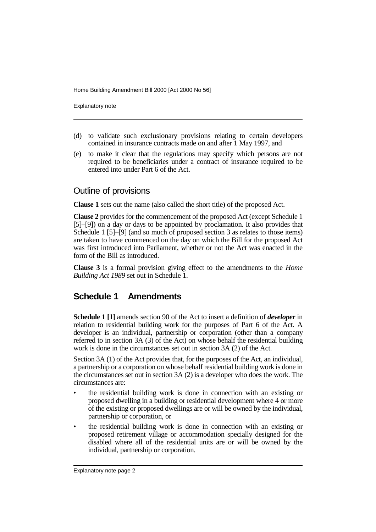Home Building Amendment Bill 2000 [Act 2000 No 56]

Explanatory note

- (d) to validate such exclusionary provisions relating to certain developers contained in insurance contracts made on and after 1 May 1997, and
- (e) to make it clear that the regulations may specify which persons are not required to be beneficiaries under a contract of insurance required to be entered into under Part 6 of the Act.

#### Outline of provisions

**Clause 1** sets out the name (also called the short title) of the proposed Act.

**Clause 2** provides for the commencement of the proposed Act (except Schedule 1 [5]–[9]) on a day or days to be appointed by proclamation. It also provides that Schedule 1 [5]–[9] (and so much of proposed section 3 as relates to those items) are taken to have commenced on the day on which the Bill for the proposed Act was first introduced into Parliament, whether or not the Act was enacted in the form of the Bill as introduced.

**Clause 3** is a formal provision giving effect to the amendments to the *Home Building Act 1989* set out in Schedule 1.

### **Schedule 1 Amendments**

**Schedule 1 [1]** amends section 90 of the Act to insert a definition of *developer* in relation to residential building work for the purposes of Part 6 of the Act. A developer is an individual, partnership or corporation (other than a company referred to in section 3A (3) of the Act) on whose behalf the residential building work is done in the circumstances set out in section 3A (2) of the Act.

Section 3A (1) of the Act provides that, for the purposes of the Act, an individual, a partnership or a corporation on whose behalf residential building work is done in the circumstances set out in section 3A (2) is a developer who does the work. The circumstances are:

- the residential building work is done in connection with an existing or proposed dwelling in a building or residential development where 4 or more of the existing or proposed dwellings are or will be owned by the individual, partnership or corporation, or
- the residential building work is done in connection with an existing or proposed retirement village or accommodation specially designed for the disabled where all of the residential units are or will be owned by the individual, partnership or corporation.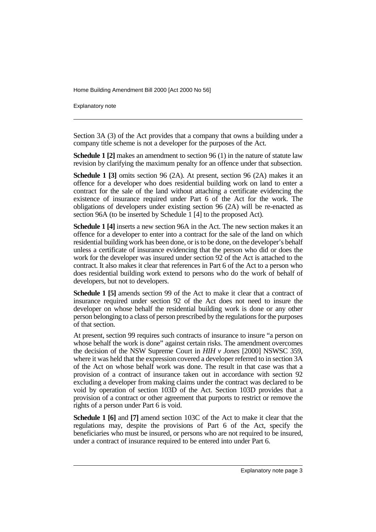Home Building Amendment Bill 2000 [Act 2000 No 56]

Explanatory note

Section 3A (3) of the Act provides that a company that owns a building under a company title scheme is not a developer for the purposes of the Act.

**Schedule 1 [2]** makes an amendment to section 96 (1) in the nature of statute law revision by clarifying the maximum penalty for an offence under that subsection.

**Schedule 1 [3]** omits section 96 (2A). At present, section 96 (2A) makes it an offence for a developer who does residential building work on land to enter a contract for the sale of the land without attaching a certificate evidencing the existence of insurance required under Part 6 of the Act for the work. The obligations of developers under existing section 96 (2A) will be re-enacted as section 96A (to be inserted by Schedule 1 [4] to the proposed Act).

**Schedule 1 [4]** inserts a new section 96A in the Act. The new section makes it an offence for a developer to enter into a contract for the sale of the land on which residential building work has been done, or is to be done, on the developer's behalf unless a certificate of insurance evidencing that the person who did or does the work for the developer was insured under section 92 of the Act is attached to the contract. It also makes it clear that references in Part 6 of the Act to a person who does residential building work extend to persons who do the work of behalf of developers, but not to developers.

**Schedule 1 [5]** amends section 99 of the Act to make it clear that a contract of insurance required under section 92 of the Act does not need to insure the developer on whose behalf the residential building work is done or any other person belonging to a class of person prescribed by the regulations for the purposes of that section.

At present, section 99 requires such contracts of insurance to insure "a person on whose behalf the work is done" against certain risks. The amendment overcomes the decision of the NSW Supreme Court in *HIH v Jones* [2000] NSWSC 359, where it was held that the expression covered a developer referred to in section 3A of the Act on whose behalf work was done. The result in that case was that a provision of a contract of insurance taken out in accordance with section 92 excluding a developer from making claims under the contract was declared to be void by operation of section 103D of the Act. Section 103D provides that a provision of a contract or other agreement that purports to restrict or remove the rights of a person under Part 6 is void.

**Schedule 1 [6]** and **[7]** amend section 103C of the Act to make it clear that the regulations may, despite the provisions of Part 6 of the Act, specify the beneficiaries who must be insured, or persons who are not required to be insured, under a contract of insurance required to be entered into under Part 6.